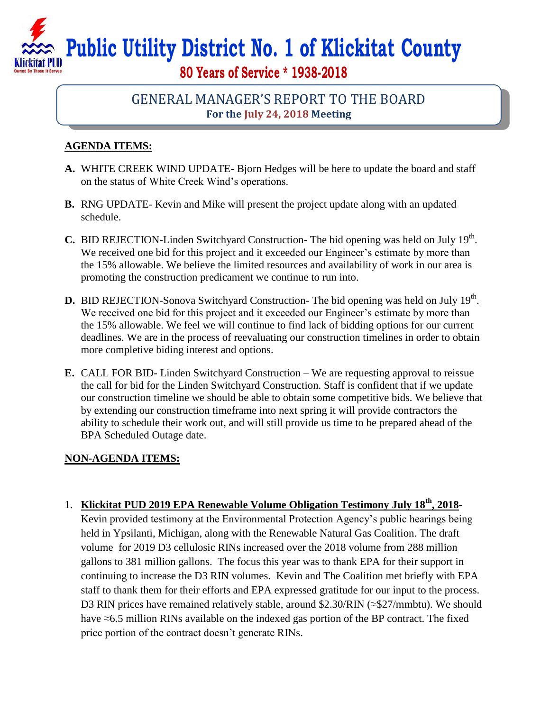**Public Utility District No. 1 of Klickitat County**

**80 Years of Service \* 1938-2018**

## GENERAL MANAGER'S REPORT TO THE BOARD **For the July 24, 2018 Meeting**

## **AGENDA ITEMS:**

- **A.** WHITE CREEK WIND UPDATE- Bjorn Hedges will be here to update the board and staff on the status of White Creek Wind's operations.
- **B.** RNG UPDATE- Kevin and Mike will present the project update along with an updated schedule.
- **C.** BID REJECTION-Linden Switchyard Construction- The bid opening was held on July 19<sup>th</sup>. We received one bid for this project and it exceeded our Engineer's estimate by more than the 15% allowable. We believe the limited resources and availability of work in our area is promoting the construction predicament we continue to run into.
- **D.** BID REJECTION-Sonova Switchyard Construction- The bid opening was held on July 19<sup>th</sup>. We received one bid for this project and it exceeded our Engineer's estimate by more than the 15% allowable. We feel we will continue to find lack of bidding options for our current deadlines. We are in the process of reevaluating our construction timelines in order to obtain more completive biding interest and options.
- **E.** CALL FOR BID- Linden Switchyard Construction We are requesting approval to reissue the call for bid for the Linden Switchyard Construction. Staff is confident that if we update our construction timeline we should be able to obtain some competitive bids. We believe that by extending our construction timeframe into next spring it will provide contractors the ability to schedule their work out, and will still provide us time to be prepared ahead of the BPA Scheduled Outage date.

## **NON-AGENDA ITEMS:**

1. **Klickitat PUD 2019 EPA Renewable Volume Obligation Testimony July 18th, 2018**- Kevin provided testimony at the Environmental Protection Agency's public hearings being held in Ypsilanti, Michigan, along with the Renewable Natural Gas Coalition. The draft volume for 2019 D3 cellulosic RINs increased over the 2018 volume from 288 million gallons to 381 million gallons. The focus this year was to thank EPA for their support in continuing to increase the D3 RIN volumes. Kevin and The Coalition met briefly with EPA staff to thank them for their efforts and EPA expressed gratitude for our input to the process. D3 RIN prices have remained relatively stable, around \$2.30/RIN (≈\$27/mmbtu). We should have ≈6.5 million RINs available on the indexed gas portion of the BP contract. The fixed price portion of the contract doesn't generate RINs.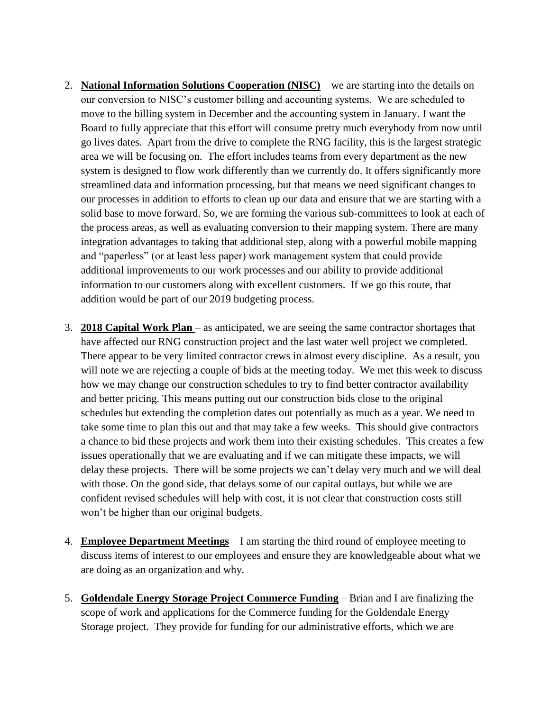- 2. **National Information Solutions Cooperation (NISC)** we are starting into the details on our conversion to NISC's customer billing and accounting systems. We are scheduled to move to the billing system in December and the accounting system in January. I want the Board to fully appreciate that this effort will consume pretty much everybody from now until go lives dates. Apart from the drive to complete the RNG facility, this is the largest strategic area we will be focusing on. The effort includes teams from every department as the new system is designed to flow work differently than we currently do. It offers significantly more streamlined data and information processing, but that means we need significant changes to our processes in addition to efforts to clean up our data and ensure that we are starting with a solid base to move forward. So, we are forming the various sub-committees to look at each of the process areas, as well as evaluating conversion to their mapping system. There are many integration advantages to taking that additional step, along with a powerful mobile mapping and "paperless" (or at least less paper) work management system that could provide additional improvements to our work processes and our ability to provide additional information to our customers along with excellent customers. If we go this route, that addition would be part of our 2019 budgeting process.
- 3. **2018 Capital Work Plan**  as anticipated, we are seeing the same contractor shortages that have affected our RNG construction project and the last water well project we completed. There appear to be very limited contractor crews in almost every discipline. As a result, you will note we are rejecting a couple of bids at the meeting today. We met this week to discuss how we may change our construction schedules to try to find better contractor availability and better pricing. This means putting out our construction bids close to the original schedules but extending the completion dates out potentially as much as a year. We need to take some time to plan this out and that may take a few weeks. This should give contractors a chance to bid these projects and work them into their existing schedules. This creates a few issues operationally that we are evaluating and if we can mitigate these impacts, we will delay these projects. There will be some projects we can't delay very much and we will deal with those. On the good side, that delays some of our capital outlays, but while we are confident revised schedules will help with cost, it is not clear that construction costs still won't be higher than our original budgets.
- 4. **Employee Department Meetings** I am starting the third round of employee meeting to discuss items of interest to our employees and ensure they are knowledgeable about what we are doing as an organization and why.
- 5. **Goldendale Energy Storage Project Commerce Funding** Brian and I are finalizing the scope of work and applications for the Commerce funding for the Goldendale Energy Storage project. They provide for funding for our administrative efforts, which we are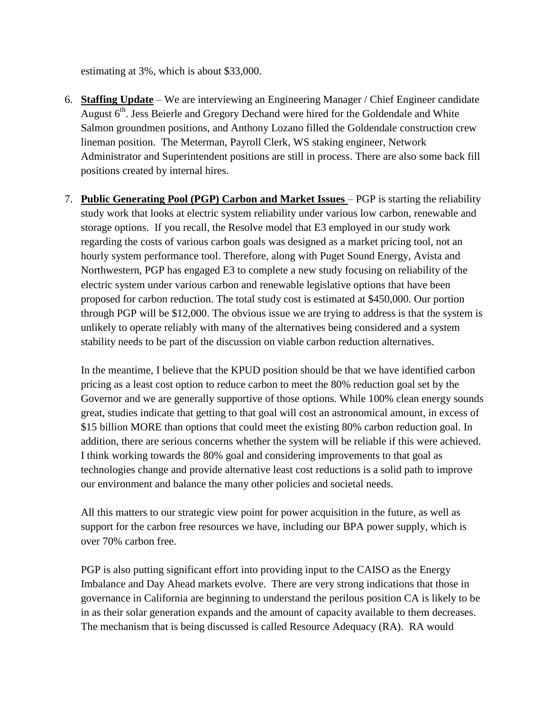estimating at 3%, which is about \$33,000.

- 6. **Staffing Update** We are interviewing an Engineering Manager / Chief Engineer candidate August  $6<sup>th</sup>$ . Jess Beierle and Gregory Dechand were hired for the Goldendale and White Salmon groundmen positions, and Anthony Lozano filled the Goldendale construction crew lineman position. The Meterman, Payroll Clerk, WS staking engineer, Network Administrator and Superintendent positions are still in process. There are also some back fill positions created by internal hires.
- 7. **Public Generating Pool (PGP) Carbon and Market Issues**  PGP is starting the reliability study work that looks at electric system reliability under various low carbon, renewable and storage options. If you recall, the Resolve model that E3 employed in our study work regarding the costs of various carbon goals was designed as a market pricing tool, not an hourly system performance tool. Therefore, along with Puget Sound Energy, Avista and Northwestern, PGP has engaged E3 to complete a new study focusing on reliability of the electric system under various carbon and renewable legislative options that have been proposed for carbon reduction. The total study cost is estimated at \$450,000. Our portion through PGP will be \$12,000. The obvious issue we are trying to address is that the system is unlikely to operate reliably with many of the alternatives being considered and a system stability needs to be part of the discussion on viable carbon reduction alternatives.

In the meantime, I believe that the KPUD position should be that we have identified carbon pricing as a least cost option to reduce carbon to meet the 80% reduction goal set by the Governor and we are generally supportive of those options. While 100% clean energy sounds great, studies indicate that getting to that goal will cost an astronomical amount, in excess of \$15 billion MORE than options that could meet the existing 80% carbon reduction goal. In addition, there are serious concerns whether the system will be reliable if this were achieved. I think working towards the 80% goal and considering improvements to that goal as technologies change and provide alternative least cost reductions is a solid path to improve our environment and balance the many other policies and societal needs.

All this matters to our strategic view point for power acquisition in the future, as well as support for the carbon free resources we have, including our BPA power supply, which is over 70% carbon free.

PGP is also putting significant effort into providing input to the CAISO as the Energy Imbalance and Day Ahead markets evolve. There are very strong indications that those in governance in California are beginning to understand the perilous position CA is likely to be in as their solar generation expands and the amount of capacity available to them decreases. The mechanism that is being discussed is called Resource Adequacy (RA). RA would